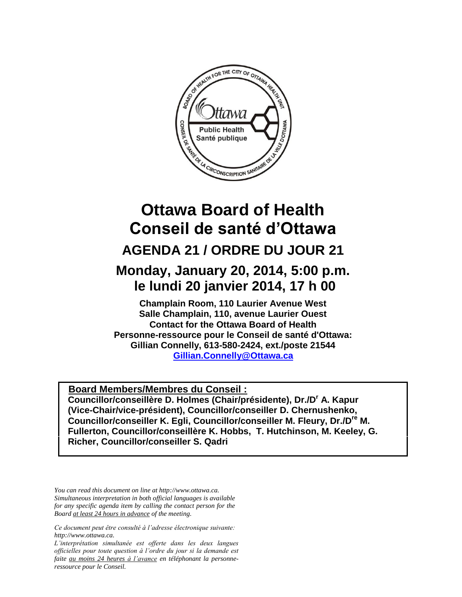

# **Ottawa Board of Health Conseil de santé d'Ottawa AGENDA 21 / ORDRE DU JOUR 21**

## **Monday, January 20, 2014, 5:00 p.m. le lundi 20 janvier 2014, 17 h 00**

**Champlain Room, 110 Laurier Avenue West Salle Champlain, 110, avenue Laurier Ouest Contact for the Ottawa Board of Health Personne-ressource pour le Conseil de santé d'Ottawa: Gillian Connelly, 613-580-2424, ext./poste 21544 [Gillian.Connelly@Ottawa.ca](mailto:Gillian.Connelly@Ottawa.ca)** 

<sup>U</sup>**Board Members/Membres du Conseil : Councillor/conseillère D. Holmes (Chair/présidente), Dr./D<sup>r</sup> A. Kapur (Vice-Chair/vice-président), Councillor/conseiller D. Chernushenko, Councillor/conseiller K. Egli, Councillor/conseiller M. Fleury, Dr./Dre M. Fullerton, Councillor/conseillère K. Hobbs, T. Hutchinson, M. Keeley, G. Richer, Councillor/conseiller S. Qadri**

*You can read this document on line at http://www.ottawa.ca. Simultaneous interpretation in both official languages is available for any specific agenda item by calling the contact person for the Board at least 24 hours in advance of the meeting.*

*Ce document peut être consulté à l'adresse électronique suivante: http://www.ottawa.ca.*

*L'interprétation simultanée est offerte dans les deux langues officielles pour toute question à l'ordre du jour si la demande est faite au moins 24 heures à l'avance en téléphonant la personneressource pour le Conseil.*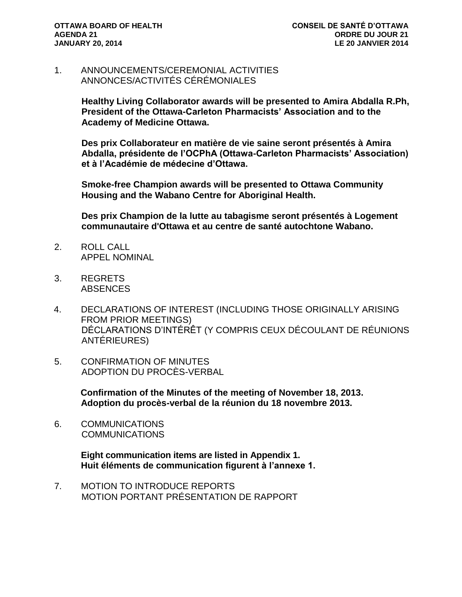1. ANNOUNCEMENTS/CEREMONIAL ACTIVITIES ANNONCES/ACTIVITÉS CÉRÉMONIALES

> **Healthy Living Collaborator awards will be presented to Amira Abdalla R.Ph, President of the Ottawa-Carleton Pharmacists' Association and to the Academy of Medicine Ottawa.**

> **Des prix Collaborateur en matière de vie saine seront présentés à Amira Abdalla, présidente de l'OCPhA (Ottawa-Carleton Pharmacists' Association) et à l'Académie de médecine d'Ottawa.**

**Smoke-free Champion awards will be presented to Ottawa Community Housing and the Wabano Centre for Aboriginal Health.**

**Des prix Champion de la lutte au tabagisme seront présentés à Logement communautaire d'Ottawa et au centre de santé autochtone Wabano.**

- 2. ROLL CALL APPEL NOMINAL
- 3. REGRETS **ABSENCES**
- 4. DECLARATIONS OF INTEREST (INCLUDING THOSE ORIGINALLY ARISING FROM PRIOR MEETINGS) DÉCLARATIONS D'INTÉRÊT (Y COMPRIS CEUX DÉCOULANT DE RÉUNIONS ANTÉRIEURES)
- 5. CONFIRMATION OF MINUTES ADOPTION DU PROCÈS-VERBAL

**Confirmation of the Minutes of the meeting of November 18, 2013. Adoption du procès-verbal de la réunion du 18 novembre 2013.** 

6. COMMUNICATIONS **COMMUNICATIONS** 

> **Eight communication items are listed in Appendix 1. Huit éléments de communication figurent à l'annexe 1.**

7. MOTION TO INTRODUCE REPORTS MOTION PORTANT PRÉSENTATION DE RAPPORT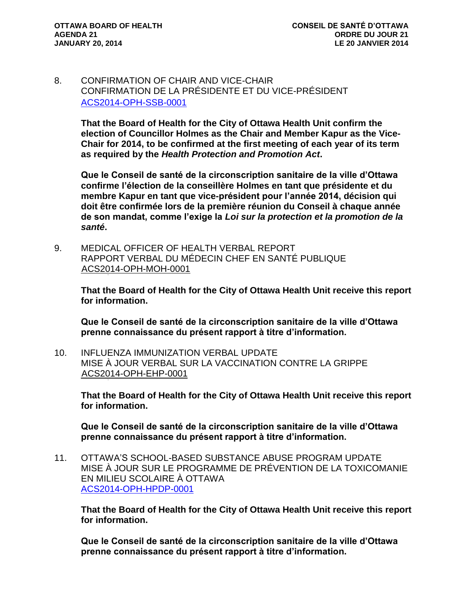8. CONFIRMATION OF CHAIR AND VICE-CHAIR CONFIRMATION DE LA PRÉSIDENTE ET DU VICE-PRÉSIDENT [ACS2014-OPH-SSB-0001](http://ottawa.ca/calendar/ottawa/citycouncil/obh/2014/01-20/Report%20-%20Confirmation%20of%20Chair%20and%20Vice%20Chair.pdf)

**That the Board of Health for the City of Ottawa Health Unit confirm the election of Councillor Holmes as the Chair and Member Kapur as the Vice-Chair for 2014, to be confirmed at the first meeting of each year of its term as required by the** *Health Protection and Promotion Act***.**

**Que le Conseil de santé de la circonscription sanitaire de la ville d'Ottawa confirme l'élection de la conseillère Holmes en tant que présidente et du membre Kapur en tant que vice-président pour l'année 2014, décision qui doit être confirmée lors de la première réunion du Conseil à chaque année de son mandat, comme l'exige la** *Loi sur la protection et la promotion de la santé***.**

9. MEDICAL OFFICER OF HEALTH VERBAL REPORT RAPPORT VERBAL DU MÉDECIN CHEF EN SANTÉ PUBLIQUE ACS2014-OPH-MOH-0001

**That the Board of Health for the City of Ottawa Health Unit receive this report for information.** 

**Que le Conseil de santé de la circonscription sanitaire de la ville d'Ottawa prenne connaissance du présent rapport à titre d'information.**

10. INFLUENZA IMMUNIZATION VERBAL UPDATE MISE À JOUR VERBAL SUR LA VACCINATION CONTRE LA GRIPPE ACS2014-OPH-EHP-0001

**That the Board of Health for the City of Ottawa Health Unit receive this report for information.** 

**Que le Conseil de santé de la circonscription sanitaire de la ville d'Ottawa prenne connaissance du présent rapport à titre d'information.**

11. OTTAWA'S SCHOOL-BASED SUBSTANCE ABUSE PROGRAM UPDATE MISE À JOUR SUR LE PROGRAMME DE PRÉVENTION DE LA TOXICOMANIE EN MILIEU SCOLAIRE À OTTAWA [ACS2014-OPH-HPDP-0001](http://ottawa.ca/calendar/ottawa/citycouncil/obh/2014/01-20/Report%20-%20School%20Based%20Substance%20Misuse%20Program%20Update.pdf)

**That the Board of Health for the City of Ottawa Health Unit receive this report for information.**

**Que le Conseil de santé de la circonscription sanitaire de la ville d'Ottawa prenne connaissance du présent rapport à titre d'information.**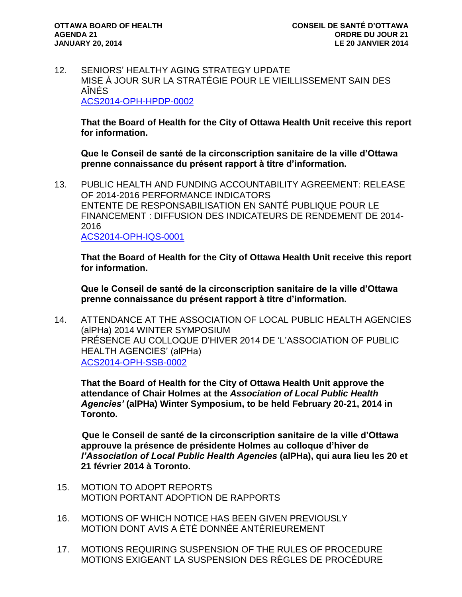#### 12. SENIORS' HEALTHY AGING STRATEGY UPDATE MISE À JOUR SUR LA STRATÉGIE POUR LE VIEILLISSEMENT SAIN DES AÎNÉS [ACS2014-OPH-HPDP-0002](http://ottawa.ca/calendar/ottawa/citycouncil/obh/2014/01-20/Report%20-%20Seniors.pdf)

**That the Board of Health for the City of Ottawa Health Unit receive this report for information.**

**Que le Conseil de santé de la circonscription sanitaire de la ville d'Ottawa prenne connaissance du présent rapport à titre d'information.**

13. PUBLIC HEALTH AND FUNDING ACCOUNTABILITY AGREEMENT: RELEASE OF 2014-2016 PERFORMANCE INDICATORS ENTENTE DE RESPONSABILISATION EN SANTÉ PUBLIQUE POUR LE FINANCEMENT : DIFFUSION DES INDICATEURS DE RENDEMENT DE 2014- 2016 [ACS2014-OPH-IQS-0001](http://ottawa.ca/calendar/ottawa/citycouncil/obh/2014/01-20/Report%20-%20Accountability%20Agreement.pdf)

**That the Board of Health for the City of Ottawa Health Unit receive this report for information.**

**Que le Conseil de santé de la circonscription sanitaire de la ville d'Ottawa prenne connaissance du présent rapport à titre d'information.**

14. ATTENDANCE AT THE ASSOCIATION OF LOCAL PUBLIC HEALTH AGENCIES (alPHa) 2014 WINTER SYMPOSIUM PRÉSENCE AU COLLOQUE D'HIVER 2014 DE 'L'ASSOCIATION OF PUBLIC HEALTH AGENCIES' (alPHa) [ACS2014-OPH-SSB-0002](http://ottawa.ca/calendar/ottawa/citycouncil/obh/2014/01-20/Report%20-%20alPHa.pdf)

**That the Board of Health for the City of Ottawa Health Unit approve the attendance of Chair Holmes at the** *Association of Local Public Health Agencies'* **(alPHa) Winter Symposium, to be held February 20-21, 2014 in Toronto.**

**Que le Conseil de santé de la circonscription sanitaire de la ville d'Ottawa approuve la présence de présidente Holmes au colloque d'hiver de**  *l'Association of Local Public Health Agencies* **(alPHa), qui aura lieu les 20 et 21 février 2014 à Toronto.**

- 15. MOTION TO ADOPT REPORTS MOTION PORTANT ADOPTION DE RAPPORTS
- 16. MOTIONS OF WHICH NOTICE HAS BEEN GIVEN PREVIOUSLY MOTION DONT AVIS A ÉTÉ DONNÉE ANTÉRIEUREMENT
- 17. MOTIONS REQUIRING SUSPENSION OF THE RULES OF PROCEDURE MOTIONS EXIGEANT LA SUSPENSION DES RÈGLES DE PROCÉDURE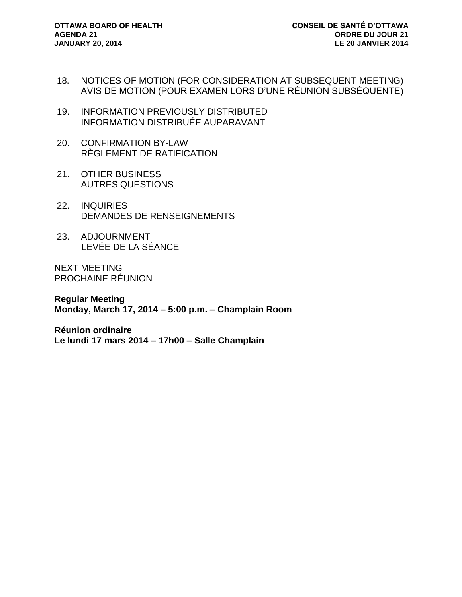- 18. NOTICES OF MOTION (FOR CONSIDERATION AT SUBSEQUENT MEETING) AVIS DE MOTION (POUR EXAMEN LORS D'UNE RÉUNION SUBSÉQUENTE)
- 19. INFORMATION PREVIOUSLY DISTRIBUTED INFORMATION DISTRIBUÉE AUPARAVANT
- 20. CONFIRMATION BY-LAW RÈGLEMENT DE RATIFICATION
- 21. OTHER BUSINESS AUTRES QUESTIONS
- 22. INQUIRIES DEMANDES DE RENSEIGNEMENTS
- 23. ADJOURNMENT LEVÉE DE LA SÉANCE

NEXT MEETING PROCHAINE RÉUNION

**Regular Meeting Monday, March 17, 2014 – 5:00 p.m. – Champlain Room**

**Réunion ordinaire Le lundi 17 mars 2014 – 17h00 – Salle Champlain**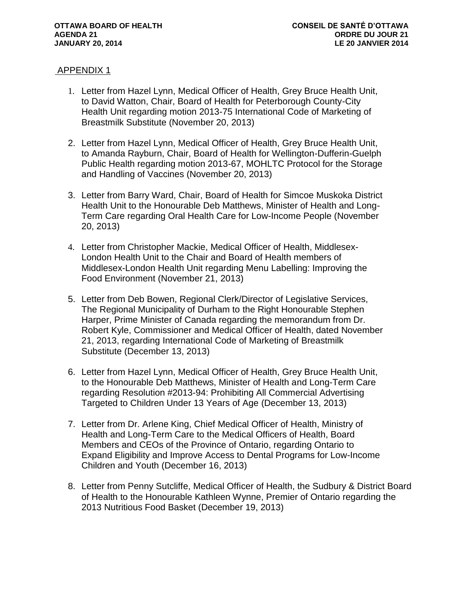### APPENDIX 1

- 1. Letter from Hazel Lynn, Medical Officer of Health, Grey Bruce Health Unit, to David Watton, Chair, Board of Health for Peterborough County-City Health Unit regarding motion 2013-75 International Code of Marketing of Breastmilk Substitute (November 20, 2013)
- 2. Letter from Hazel Lynn, Medical Officer of Health, Grey Bruce Health Unit, to Amanda Rayburn, Chair, Board of Health for Wellington-Dufferin-Guelph Public Health regarding motion 2013-67, MOHLTC Protocol for the Storage and Handling of Vaccines (November 20, 2013)
- 3. Letter from Barry Ward, Chair, Board of Health for Simcoe Muskoka District Health Unit to the Honourable Deb Matthews, Minister of Health and Long-Term Care regarding Oral Health Care for Low-Income People (November 20, 2013)
- 4. Letter from Christopher Mackie, Medical Officer of Health, Middlesex-London Health Unit to the Chair and Board of Health members of Middlesex-London Health Unit regarding Menu Labelling: Improving the Food Environment (November 21, 2013)
- 5. Letter from Deb Bowen, Regional Clerk/Director of Legislative Services, The Regional Municipality of Durham to the Right Honourable Stephen Harper, Prime Minister of Canada regarding the memorandum from Dr. Robert Kyle, Commissioner and Medical Officer of Health, dated November 21, 2013, regarding International Code of Marketing of Breastmilk Substitute (December 13, 2013)
- 6. Letter from Hazel Lynn, Medical Officer of Health, Grey Bruce Health Unit, to the Honourable Deb Matthews, Minister of Health and Long-Term Care regarding Resolution #2013-94: Prohibiting All Commercial Advertising Targeted to Children Under 13 Years of Age (December 13, 2013)
- 7. Letter from Dr. Arlene King, Chief Medical Officer of Health, Ministry of Health and Long-Term Care to the Medical Officers of Health, Board Members and CEOs of the Province of Ontario, regarding Ontario to Expand Eligibility and Improve Access to Dental Programs for Low-Income Children and Youth (December 16, 2013)
- 8. Letter from Penny Sutcliffe, Medical Officer of Health, the Sudbury & District Board of Health to the Honourable Kathleen Wynne, Premier of Ontario regarding the 2013 Nutritious Food Basket (December 19, 2013)